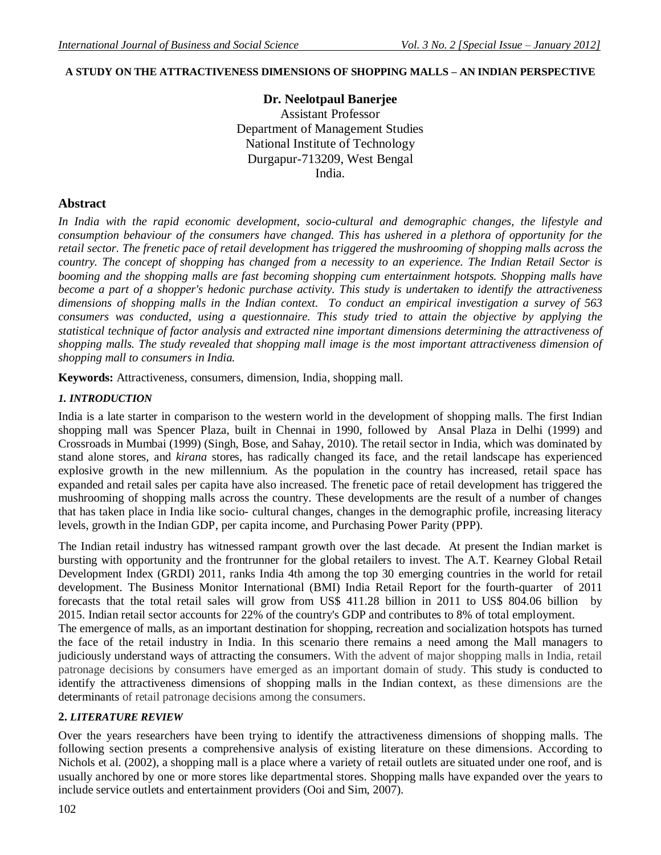# **A STUDY ON THE ATTRACTIVENESS DIMENSIONS OF SHOPPING MALLS – AN INDIAN PERSPECTIVE**

### **Dr. Neelotpaul Banerjee**

Assistant Professor Department of Management Studies National Institute of Technology Durgapur-713209, West Bengal India.

#### **Abstract**

*In India with the rapid economic development, socio-cultural and demographic changes, the lifestyle and consumption behaviour of the consumers have changed. This has ushered in a plethora of opportunity for the retail sector. The frenetic pace of retail development has triggered the mushrooming of shopping malls across the country. The concept of shopping has changed from a necessity to an experience. The Indian Retail Sector is booming and the shopping malls are fast becoming shopping cum entertainment hotspots. Shopping malls have become a part of a shopper's hedonic purchase activity. This study is undertaken to identify the attractiveness dimensions of shopping malls in the Indian context. To conduct an empirical investigation a survey of 563 consumers was conducted, using a questionnaire. This study tried to attain the objective by applying the statistical technique of factor analysis and extracted nine important dimensions determining the attractiveness of shopping malls. The study revealed that shopping mall image is the most important attractiveness dimension of shopping mall to consumers in India.*

**Keywords:** Attractiveness, consumers, dimension, India, shopping mall.

#### *1. INTRODUCTION*

India is a late starter in comparison to the western world in the development of shopping malls. The first Indian shopping mall was Spencer Plaza, built in Chennai in 1990, followed by Ansal Plaza in Delhi (1999) and Crossroads in Mumbai (1999) (Singh, Bose, and Sahay, 2010). The retail sector in India, which was dominated by stand alone stores, and *kirana* stores, has radically changed its face, and the retail landscape has experienced explosive growth in the new millennium. As the population in the country has increased, retail space has expanded and retail sales per capita have also increased. The frenetic pace of retail development has triggered the mushrooming of shopping malls across the country. These developments are the result of a number of changes that has taken place in India like socio- cultural changes, changes in the demographic profile, increasing literacy levels, growth in the Indian GDP, per capita income, and Purchasing Power Parity (PPP).

The Indian retail industry has witnessed rampant growth over the last decade. At present the Indian market is bursting with opportunity and the frontrunner for the global retailers to invest. The A.T. Kearney Global Retail Development Index (GRDI) 2011, ranks India 4th among the top 30 emerging countries in the world for retail development. The Business Monitor International (BMI) India Retail Report for the fourth-quarter of 2011 forecasts that the total retail sales will grow from US\$ 411.28 billion in 2011 to US\$ 804.06 billion by 2015. Indian retail sector accounts for 22% of the country's GDP and contributes to 8% of total employment.

The emergence of malls, as an important destination for shopping, recreation and socialization hotspots has turned the face of the retail industry in India. In this scenario there remains a need among the Mall managers to judiciously understand ways of attracting the consumers. With the advent of major shopping malls in India, retail patronage decisions by consumers have emerged as an important domain of study. This study is conducted to identify the attractiveness dimensions of shopping malls in the Indian context, as these dimensions are the determinants of retail patronage decisions among the consumers.

#### **2.** *LITERATURE REVIEW*

Over the years researchers have been trying to identify the attractiveness dimensions of shopping malls. The following section presents a comprehensive analysis of existing literature on these dimensions. According to Nichols et al. (2002), a shopping mall is a place where a variety of retail outlets are situated under one roof, and is usually anchored by one or more stores like departmental stores. Shopping malls have expanded over the years to include service outlets and entertainment providers (Ooi and Sim, 2007).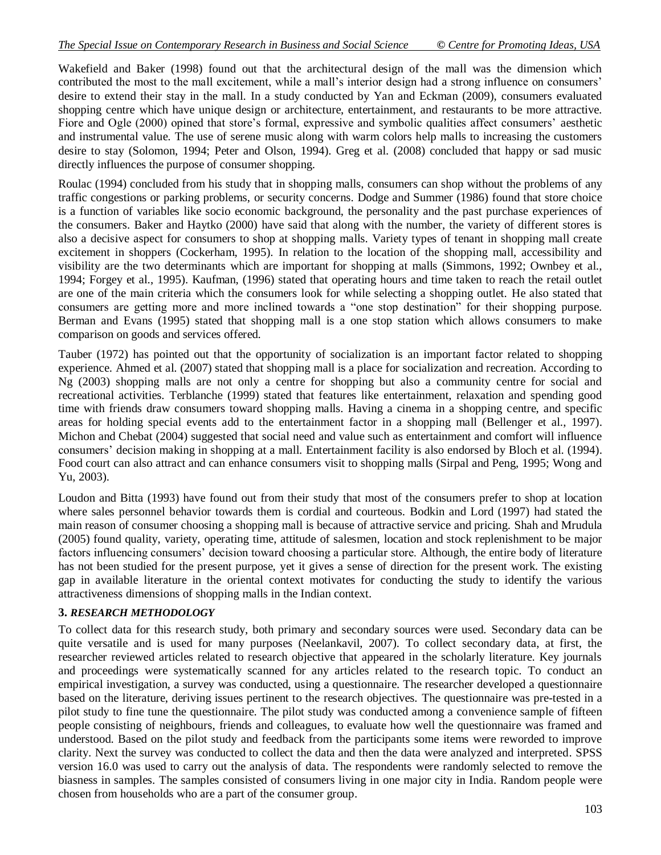Wakefield and Baker (1998) found out that the architectural design of the mall was the dimension which contributed the most to the mall excitement, while a mall's interior design had a strong influence on consumers' desire to extend their stay in the mall. In a study conducted by Yan and Eckman (2009), consumers evaluated shopping centre which have unique design or architecture, entertainment, and restaurants to be more attractive. Fiore and Ogle (2000) opined that store's formal, expressive and symbolic qualities affect consumers' aesthetic and instrumental value. The use of serene music along with warm colors help malls to increasing the customers desire to stay (Solomon, 1994; Peter and Olson, 1994). Greg et al. (2008) concluded that happy or sad music directly influences the purpose of consumer shopping.

Roulac (1994) concluded from his study that in shopping malls, consumers can shop without the problems of any traffic congestions or parking problems, or security concerns. Dodge and Summer (1986) found that store choice is a function of variables like socio economic background, the personality and the past purchase experiences of the consumers. Baker and Haytko (2000) have said that along with the number, the variety of different stores is also a decisive aspect for consumers to shop at shopping malls. Variety types of tenant in shopping mall create excitement in shoppers (Cockerham, 1995). In relation to the location of the shopping mall, accessibility and visibility are the two determinants which are important for shopping at malls (Simmons, 1992; Ownbey et al., 1994; Forgey et al., 1995). Kaufman, (1996) stated that operating hours and time taken to reach the retail outlet are one of the main criteria which the consumers look for while selecting a shopping outlet. He also stated that consumers are getting more and more inclined towards a "one stop destination" for their shopping purpose. Berman and Evans (1995) stated that shopping mall is a one stop station which allows consumers to make comparison on goods and services offered.

Tauber (1972) has pointed out that the opportunity of socialization is an important factor related to shopping experience. Ahmed et al. (2007) stated that shopping mall is a place for socialization and recreation. According to Ng (2003) shopping malls are not only a centre for shopping but also a community centre for social and recreational activities. Terblanche (1999) stated that features like entertainment, relaxation and spending good time with friends draw consumers toward shopping malls. Having a cinema in a shopping centre, and specific areas for holding special events add to the entertainment factor in a shopping mall (Bellenger et al., 1997). Michon and Chebat (2004) suggested that social need and value such as entertainment and comfort will influence consumers" decision making in shopping at a mall. Entertainment facility is also endorsed by Bloch et al. (1994). Food court can also attract and can enhance consumers visit to shopping malls (Sirpal and Peng, 1995; Wong and Yu, 2003).

Loudon and Bitta (1993) have found out from their study that most of the consumers prefer to shop at location where sales personnel behavior towards them is cordial and courteous. Bodkin and Lord (1997) had stated the main reason of consumer choosing a shopping mall is because of attractive service and pricing. Shah and Mrudula (2005) found quality, variety, operating time, attitude of salesmen, location and stock replenishment to be major factors influencing consumers' decision toward choosing a particular store. Although, the entire body of literature has not been studied for the present purpose, yet it gives a sense of direction for the present work. The existing gap in available literature in the oriental context motivates for conducting the study to identify the various attractiveness dimensions of shopping malls in the Indian context.

#### **3.** *RESEARCH METHODOLOGY*

To collect data for this research study, both primary and secondary sources were used. Secondary data can be quite versatile and is used for many purposes (Neelankavil, 2007). To collect secondary data, at first, the researcher reviewed articles related to research objective that appeared in the scholarly literature. Key journals and proceedings were systematically scanned for any articles related to the research topic. To conduct an empirical investigation, a survey was conducted, using a questionnaire. The researcher developed a questionnaire based on the literature, deriving issues pertinent to the research objectives. The questionnaire was pre-tested in a pilot study to fine tune the questionnaire. The pilot study was conducted among a convenience sample of fifteen people consisting of neighbours, friends and colleagues, to evaluate how well the questionnaire was framed and understood. Based on the pilot study and feedback from the participants some items were reworded to improve clarity. Next the survey was conducted to collect the data and then the data were analyzed and interpreted. SPSS version 16.0 was used to carry out the analysis of data. The respondents were randomly selected to remove the biasness in samples. The samples consisted of consumers living in one major city in India. Random people were chosen from households who are a part of the consumer group.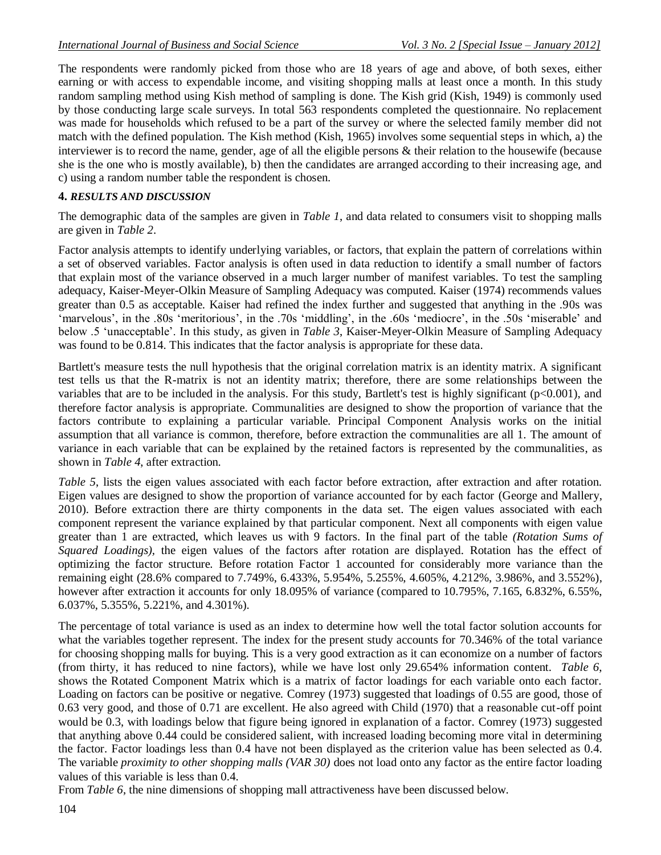The respondents were randomly picked from those who are 18 years of age and above, of both sexes, either earning or with access to expendable income, and visiting shopping malls at least once a month. In this study random sampling method using Kish method of sampling is done. The Kish grid (Kish, 1949) is commonly used by those conducting large scale surveys. In total 563 respondents completed the questionnaire. No replacement was made for households which refused to be a part of the survey or where the selected family member did not match with the defined population. The Kish method (Kish, 1965) involves some sequential steps in which, a) the interviewer is to record the name, gender, age of all the eligible persons & their relation to the housewife (because she is the one who is mostly available), b) then the candidates are arranged according to their increasing age, and c) using a random number table the respondent is chosen.

### **4.** *RESULTS AND DISCUSSION*

The demographic data of the samples are given in *Table 1*, and data related to consumers visit to shopping malls are given in *Table 2*.

Factor analysis attempts to identify underlying variables, or factors, that explain the pattern of correlations within a set of observed variables. Factor analysis is often used in data reduction to identify a small number of factors that explain most of the variance observed in a much larger number of manifest variables. To test the sampling adequacy, Kaiser-Meyer-Olkin Measure of Sampling Adequacy was computed. Kaiser (1974) recommends values greater than 0.5 as acceptable. Kaiser had refined the index further and suggested that anything in the .90s was "marvelous", in the .80s 'meritorious', in the .70s 'middling', in the .60s 'mediocre', in the .50s 'miserable' and below .5 "unacceptable". In this study, as given in *Table 3*, Kaiser-Meyer-Olkin Measure of Sampling Adequacy was found to be 0.814. This indicates that the factor analysis is appropriate for these data.

Bartlett's measure tests the null hypothesis that the original correlation matrix is an identity matrix. A significant test tells us that the R-matrix is not an identity matrix; therefore, there are some relationships between the variables that are to be included in the analysis. For this study, Bartlett's test is highly significant (p<0.001), and therefore factor analysis is appropriate. Communalities are designed to show the proportion of variance that the factors contribute to explaining a particular variable. Principal Component Analysis works on the initial assumption that all variance is common, therefore, before extraction the communalities are all 1. The amount of variance in each variable that can be explained by the retained factors is represented by the communalities, as shown in *Table 4*, after extraction.

*Table 5*, lists the eigen values associated with each factor before extraction, after extraction and after rotation. Eigen values are designed to show the proportion of variance accounted for by each factor (George and Mallery, 2010). Before extraction there are thirty components in the data set. The eigen values associated with each component represent the variance explained by that particular component. Next all components with eigen value greater than 1 are extracted, which leaves us with 9 factors. In the final part of the table *(Rotation Sums of Squared Loadings),* the eigen values of the factors after rotation are displayed. Rotation has the effect of optimizing the factor structure. Before rotation Factor 1 accounted for considerably more variance than the remaining eight (28.6% compared to 7.749%, 6.433%, 5.954%, 5.255%, 4.605%, 4.212%, 3.986%, and 3.552%), however after extraction it accounts for only 18.095% of variance (compared to 10.795%, 7.165, 6.832%, 6.55%, 6.037%, 5.355%, 5.221%, and 4.301%).

The percentage of total variance is used as an index to determine how well the total factor solution accounts for what the variables together represent. The index for the present study accounts for 70.346% of the total variance for choosing shopping malls for buying. This is a very good extraction as it can economize on a number of factors (from thirty, it has reduced to nine factors), while we have lost only 29.654% information content. *Table 6*, shows the Rotated Component Matrix which is a matrix of factor loadings for each variable onto each factor. Loading on factors can be positive or negative. Comrey (1973) suggested that loadings of 0.55 are good, those of 0.63 very good, and those of 0.71 are excellent. He also agreed with Child (1970) that a reasonable cut-off point would be 0.3, with loadings below that figure being ignored in explanation of a factor. Comrey (1973) suggested that anything above 0.44 could be considered salient, with increased loading becoming more vital in determining the factor. Factor loadings less than 0.4 have not been displayed as the criterion value has been selected as 0.4. The variable *proximity to other shopping malls (VAR 30)* does not load onto any factor as the entire factor loading values of this variable is less than 0.4.

From *Table 6*, the nine dimensions of shopping mall attractiveness have been discussed below.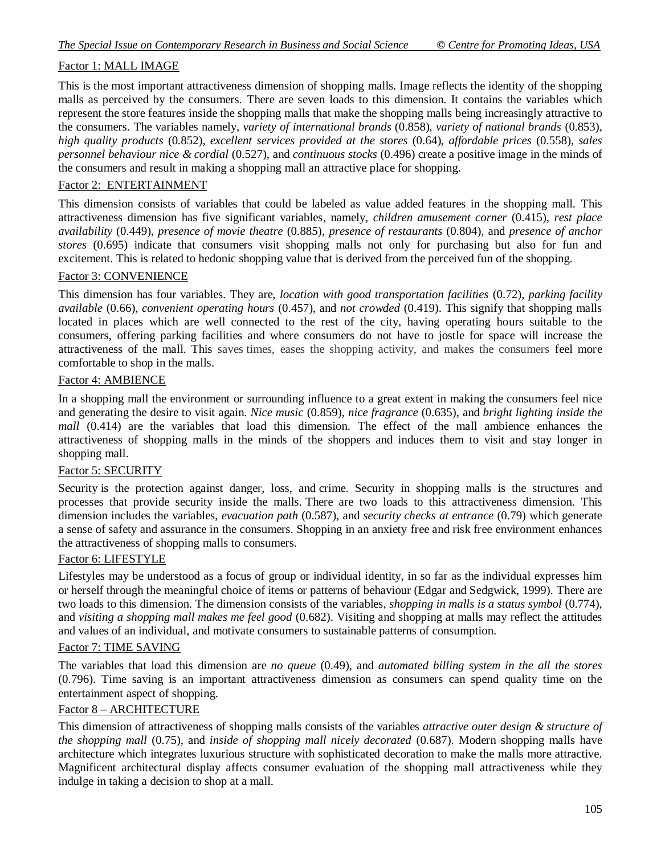# Factor 1: MALL IMAGE

This is the most important attractiveness dimension of shopping malls. Image reflects the identity of the shopping malls as perceived by the consumers. There are seven loads to this dimension. It contains the variables which represent the store features inside the shopping malls that make the shopping malls being increasingly attractive to the consumers. The variables namely, *variety of international brands* (0.858), *variety of national brands* (0.853), *high quality products* (0.852), *excellent services provided at the stores* (0.64), *affordable prices* (0.558), *sales personnel behaviour nice & cordial* (0.527), and *continuous stocks* (0.496) create a positive image in the minds of the consumers and result in making a shopping mall an attractive place for shopping.

#### Factor 2: ENTERTAINMENT

This dimension consists of variables that could be labeled as value added features in the shopping mall. This attractiveness dimension has five significant variables, namely, *children amusement corner* (0.415), *rest place availability* (0.449), *presence of movie theatre* (0.885), *presence of restaurants* (0.804), and *presence of anchor stores* (0.695) indicate that consumers visit shopping malls not only for purchasing but also for fun and excitement. This is related to hedonic shopping value that is derived from the perceived fun of the shopping.

#### Factor 3: CONVENIENCE

This dimension has four variables. They are, *location with good transportation facilities* (0.72), *parking facility available* (0.66), *convenient operating hours* (0.457), and *not crowded* (0.419). This signify that shopping malls located in places which are well connected to the rest of the city, having operating hours suitable to the consumers, offering parking facilities and where consumers do not have to jostle for space will increase the attractiveness of the mall. This saves times, eases the shopping activity, and makes the consumers feel more comfortable to shop in the malls.

#### Factor 4: AMBIENCE

In a shopping mall the environment or surrounding influence to a great extent in making the consumers feel nice and generating the desire to visit again. *Nice music* (0.859), *nice fragrance* (0.635), and *bright lighting inside the mall* (0.414) are the variables that load this dimension. The effect of the mall ambience enhances the attractiveness of shopping malls in the minds of the shoppers and induces them to visit and stay longer in shopping mall.

#### Factor 5: SECURITY

Security is the protection against danger, loss, and [crime.](http://en.wikipedia.org/wiki/Crime) Security in shopping malls is the structures and processes that provide security inside the malls. There are two loads to this attractiveness dimension. This dimension includes the variables, *evacuation path* (0.587), and *security checks at entrance* (0.79) which generate a sense of safety and assurance in the consumers. Shopping in an anxiety free and risk free environment enhances the attractiveness of shopping malls to consumers.

#### Factor 6: LIFESTYLE

Lifestyles may be understood as a focus of group or individual identity, in so far as the individual expresses him or herself through the meaningful choice of items or patterns of behaviour (Edgar and Sedgwick, 1999). There are two loads to this dimension. The dimension consists of the variables, *shopping in malls is a status symbol* (0.774), and *visiting a shopping mall makes me feel good* (0.682). Visiting and shopping at malls may reflect the attitudes and values of an individual, and motivate consumers to sustainable patterns of consumption.

#### Factor 7: TIME SAVING

The variables that load this dimension are *no queue* (0.49), and *automated billing system in the all the stores* (0.796). Time saving is an important attractiveness dimension as consumers can spend quality time on the entertainment aspect of shopping.

#### Factor 8 – ARCHITECTURE

This dimension of attractiveness of shopping malls consists of the variables *attractive outer design & structure of the shopping mall* (0.75), and *inside of shopping mall nicely decorated* (0.687). Modern shopping malls have architecture which integrates luxurious structure with sophisticated decoration to make the malls more attractive. Magnificent architectural display affects consumer evaluation of the shopping mall attractiveness while they indulge in taking a decision to shop at a mall.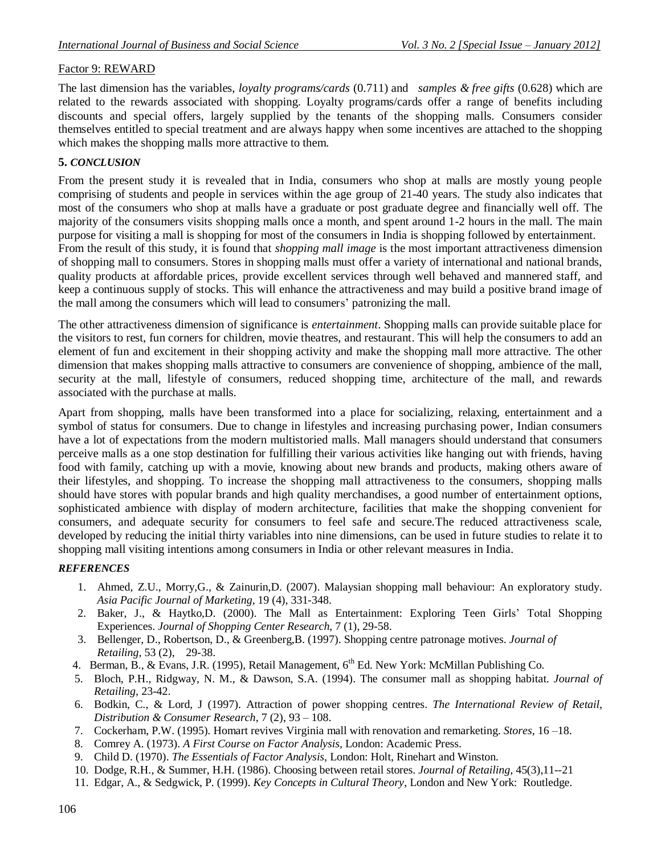#### Factor 9: REWARD

The last dimension has the variables, *loyalty programs/cards* (0.711) and *samples & free gifts* (0.628) which are related to the rewards associated with shopping. Loyalty programs/cards offer a range of benefits including discounts and special offers, largely supplied by the tenants of the shopping malls. Consumers consider themselves entitled to special treatment and are always happy when some incentives are attached to the shopping which makes the shopping malls more attractive to them.

#### **5.** *CONCLUSION*

From the present study it is revealed that in India, consumers who shop at malls are mostly young people comprising of students and people in services within the age group of 21-40 years. The study also indicates that most of the consumers who shop at malls have a graduate or post graduate degree and financially well off. The majority of the consumers visits shopping malls once a month, and spent around 1-2 hours in the mall. The main purpose for visiting a mall is shopping for most of the consumers in India is shopping followed by entertainment. From the result of this study, it is found that *shopping mall image* is the most important attractiveness dimension of shopping mall to consumers. Stores in shopping malls must offer a variety of international and national brands, quality products at affordable prices, provide excellent services through well behaved and mannered staff, and keep a continuous supply of stocks. This will enhance the attractiveness and may build a positive brand image of the mall among the consumers which will lead to consumers' patronizing the mall.

The other attractiveness dimension of significance is *entertainment*. Shopping malls can provide suitable place for the visitors to rest, fun corners for children, movie theatres, and restaurant. This will help the consumers to add an element of fun and excitement in their shopping activity and make the shopping mall more attractive. The other dimension that makes shopping malls attractive to consumers are convenience of shopping, ambience of the mall, security at the mall, lifestyle of consumers, reduced shopping time, architecture of the mall, and rewards associated with the purchase at malls.

Apart from shopping, malls have been transformed into a place for socializing, relaxing, entertainment and a symbol of status for consumers. Due to change in lifestyles and increasing purchasing power, Indian consumers have a lot of expectations from the modern multistoried malls. Mall managers should understand that consumers perceive malls as a one stop destination for fulfilling their various activities like hanging out with friends, having food with family, catching up with a movie, knowing about new brands and products, making others aware of their lifestyles, and shopping. To increase the shopping mall attractiveness to the consumers, shopping malls should have stores with popular brands and high quality merchandises, a good number of entertainment options, sophisticated ambience with display of modern architecture, facilities that make the shopping convenient for consumers, and adequate security for consumers to feel safe and secure.The reduced attractiveness scale, developed by reducing the initial thirty variables into nine dimensions, can be used in future studies to relate it to shopping mall visiting intentions among consumers in India or other relevant measures in India.

#### *REFERENCES*

- 1. Ahmed, Z.U., Morry,G., & Zainurin,D. (2007). Malaysian shopping mall behaviour: An exploratory study. *Asia Pacific Journal of Marketing*, 19 (4), 331-348.
- 2. Baker, J., & Haytko,D. (2000). The Mall as Entertainment: Exploring Teen Girls" Total Shopping Experiences. *Journal of Shopping Center Research*, 7 (1), 29-58.
- 3. Bellenger, D., Robertson, D., & Greenberg,B. (1997). Shopping centre patronage motives. *Journal of Retailing,* 53 (2), 29-38.
- 4. Berman, B., & Evans, J.R. (1995), Retail Management, 6<sup>th</sup> Ed. New York: McMillan Publishing Co.
- 5. Bloch, P.H., Ridgway, N. M., & Dawson, S.A. (1994). The consumer mall as shopping habitat. *Journal of Retailing,* 23-42.
- 6. Bodkin, C., & Lord, J (1997). Attraction of power shopping centres. *The International Review of Retail, Distribution & Consumer Research*, 7 (2), 93 – 108.
- 7. Cockerham, P.W. (1995). Homart revives Virginia mall with renovation and remarketing. *Stores,* 16 –18.
- 8. Comrey A. (1973). *A First Course on Factor Analysis,* London: Academic Press.
- 9. Child D. (1970). *The Essentials of Factor Analysis,* London: Holt, Rinehart and Winston*.*
- 10. Dodge, R.H., & Summer, H.H. (1986). Choosing between retail stores. *Journal of Retailing*, 45(3),11--21
- 11. Edgar, A., & Sedgwick, P. (1999). *Key Concepts in Cultural Theory*, London and New York: Routledge.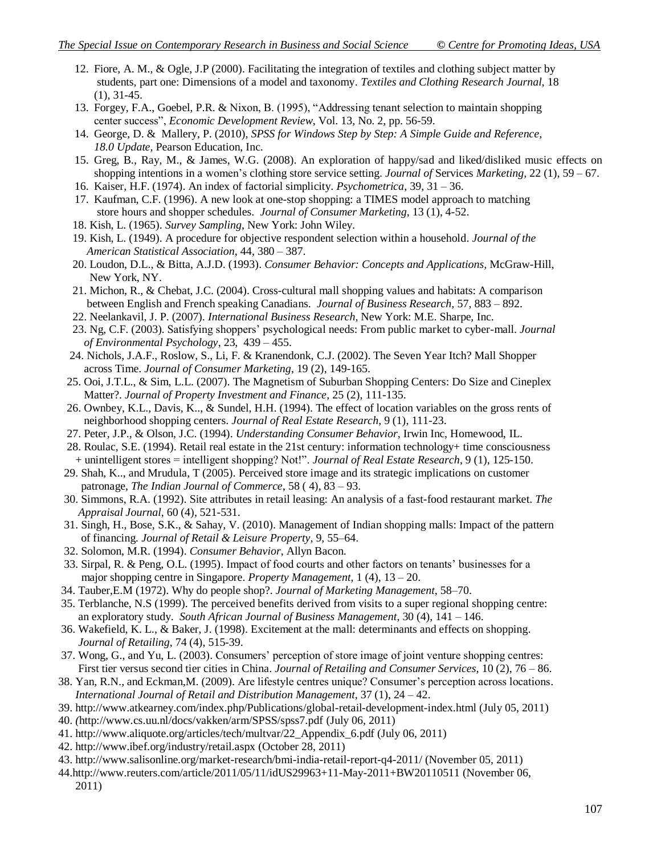- 12. Fiore, A. M., & Ogle, J.P (2000). Facilitating the integration of textiles and clothing subject matter by students, part one: Dimensions of a model and taxonomy. *Textiles and Clothing Research Journal,* 18 (1), 31-45.
- 13. Forgey, F.A., Goebel, P.R. & Nixon, B. (1995), "Addressing tenant selection to maintain shopping center success", *Economic Development Review*, Vol. 13, No. 2, pp. 56-59.
- 14. [George,](http://www.google.com/search?tbo=p&tbm=bks&q=inauthor:%22Darren+George%22) D. & [Mallery,](http://www.google.com/search?tbo=p&tbm=bks&q=inauthor:%22Paul+Mallery%22) P. (2010), *SPSS for Windows Step by Step: A Simple Guide and Reference, 18.0 Update,* Pearson Education, Inc.
- 15. Greg, B., Ray, M., & James, W.G. (2008). An exploration of happy/sad and liked/disliked music effects on shopping intentions in a women"s clothing store service setting. *Journal of* Services *Marketing,* 22 (1), 59 – 67.
- 16. Kaiser, H.F. (1974). An index of factorial simplicity. *Psychometrica*, 39, 31 36.
- 17. Kaufman, C.F. (1996). A new look at one-stop shopping: a TIMES model approach to matching store hours and shopper schedules. *Journal of Consumer Marketing*, 13 (1), 4-52.
- 18. Kish, L. (1965). *Survey Sampling*, New York: John Wiley.
- 19. Kish, L. (1949). A procedure for objective respondent selection within a household. *Journal of the American Statistical Association*, 44, 380 – 387.
- 20. Loudon, D.L., & Bitta, A.J.D. (1993). *Consumer Behavior: Concepts and Applications,* McGraw-Hill, New York, NY.
- 21. Michon, R., & Chebat, J.C. (2004). Cross-cultural mall shopping values and habitats: A comparison between English and French speaking Canadians. *Journal of Business Research,* 57, 883 – 892.
- 22. Neelankavil, J. P. (2007). *International Business Research,* New York: M.E. Sharpe, Inc.
- 23. Ng, C.F. (2003). Satisfying shoppers" psychological needs: From public market to cyber-mall. *Journal of Environmental Psychology*, 23, 439 – 455.
- 24. Nichols, J.A.F., Roslow, S., Li, F. & Kranendonk, C.J. (2002). The Seven Year Itch? Mall Shopper across Time. *Journal of Consumer Marketing*, 19 (2), 149-165.
- 25. Ooi, J.T.L., & Sim, L.L. (2007). The Magnetism of Suburban Shopping Centers: Do Size and Cineplex Matter?. *Journal of Property Investment and Finance*, 25 (2), 111-135.
- 26. Ownbey, K.L., Davis, K.., & Sundel, H.H. (1994). The effect of location variables on the gross rents of neighborhood shopping centers. *Journal of Real Estate Research*, 9 (1), 111-23.
- 27. Peter, J.P., & Olson, J.C. (1994). *Understanding Consumer Behavior,* Irwin Inc, Homewood, IL.
- 28. Roulac, S.E. (1994). Retail real estate in the 21st century: information technology+ time consciousness + unintelligent stores = intelligent shopping? Not!". *Journal of Real Estate Research*, 9 (1), 125-150.
- 29. Shah, K.., and Mrudula, T (2005). Perceived store image and its strategic implications on customer patronage, *The Indian Journal of Commerce*, 58 ( 4), 83 – 93.
- 30. Simmons, R.A. (1992). Site attributes in retail leasing: An analysis of a fast-food restaurant market. *The Appraisal Journal*, 60 (4), 521-531.
- 31. Singh, H., Bose, S.K., & Sahay, V. (2010). Management of Indian shopping malls: Impact of the pattern of financing*. Journal of Retail & Leisure Property*, 9, 55–64.
- 32. Solomon, M.R. (1994). *Consumer Behavior,* Allyn Bacon.
- 33. Sirpal, R. & Peng, O.L. (1995). Impact of food courts and other factors on tenants" businesses for a major shopping centre in Singapore. *Property Management,* 1 (4), 13 – 20.
- 34. Tauber,E.M (1972). Why do people shop?. *Journal of Marketing Management*, 58–70.
- 35. Terblanche, N.S (1999). The perceived benefits derived from visits to a super regional shopping centre: an exploratory study. *South African Journal of Business Management*, 30 (4), 141 – 146.
- 36. Wakefield, K. L., & Baker, J. (1998). Excitement at the mall: determinants and effects on shopping. *Journal of Retailing*, 74 (4), 515-39.
- 37. Wong, G., and Yu, L. (2003). Consumers" perception of store image of joint venture shopping centres: First tier versus second tier cities in China. *Journal of Retailing and Consumer Services,* 10 (2), 76 – 86.
- 38. Yan, R.N., and Eckman,M. (2009). Are lifestyle centres unique? Consumer"s perception across locations. *International Journal of Retail and Distribution Management,* 37 (1), 24 – 42.
- 39.<http://www.atkearney.com/index.php/Publications/global-retail-development-index.html> (July 05, 2011) 40. *(*<http://www.cs.uu.nl/docs/vakken/arm/SPSS/spss7.pdf> (July 06, 2011)
- 41. [http://www.aliquote.org/articles/tech/multvar/22\\_Appendix\\_6.pdf](http://www.aliquote.org/articles/tech/multvar/22_Appendix_6.pdf) (July 06, 2011)
- 42.<http://www.ibef.org/industry/retail.aspx> (October 28, 2011)
- 43.<http://www.salisonline.org/market-research/bmi-india-retail-report-q4-2011/> (November 05, 2011)
- 44[.http://www.reuters.com/article/2011/05/11/idUS29963+11-May-2011+BW20110511](http://www.reuters.com/article/2011/05/11/idUS29963+11-May-2011+BW20110511) (November 06, 2011)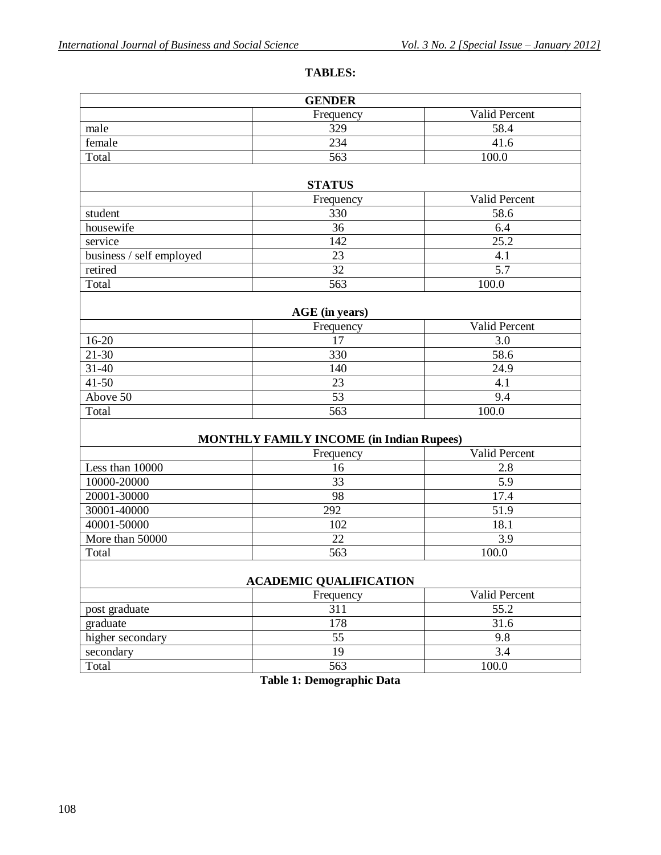# **TABLES:**

| <b>GENDER</b>                 |                                                 |                    |  |  |  |  |  |
|-------------------------------|-------------------------------------------------|--------------------|--|--|--|--|--|
|                               | Frequency                                       | Valid Percent      |  |  |  |  |  |
| male                          | 329                                             | 58.4               |  |  |  |  |  |
| female                        | 234                                             | 41.6               |  |  |  |  |  |
| Total                         | 563                                             | $\overline{100.0}$ |  |  |  |  |  |
|                               |                                                 |                    |  |  |  |  |  |
|                               | <b>STATUS</b>                                   |                    |  |  |  |  |  |
|                               | Frequency                                       | Valid Percent      |  |  |  |  |  |
| student                       | 330                                             | 58.6               |  |  |  |  |  |
| housewife                     | 36                                              | 6.4                |  |  |  |  |  |
| service                       | 142                                             | $\overline{25.2}$  |  |  |  |  |  |
| business / self employed      | $\overline{23}$                                 | 4.1                |  |  |  |  |  |
| retired                       | 32                                              | $\overline{5.7}$   |  |  |  |  |  |
| Total                         | 563                                             | 100.0              |  |  |  |  |  |
|                               |                                                 |                    |  |  |  |  |  |
|                               | AGE (in years)                                  |                    |  |  |  |  |  |
|                               | Frequency                                       | Valid Percent      |  |  |  |  |  |
| $16 - 20$                     | 17                                              | 3.0                |  |  |  |  |  |
| $21 - 30$                     | 330                                             | 58.6               |  |  |  |  |  |
| $31 - 40$                     | 140                                             | 24.9               |  |  |  |  |  |
| $41 - 50$                     | 23                                              | 4.1                |  |  |  |  |  |
| Above 50                      | 53                                              | 9.4                |  |  |  |  |  |
| Total                         | 563                                             | 100.0              |  |  |  |  |  |
|                               | <b>MONTHLY FAMILY INCOME (in Indian Rupees)</b> |                    |  |  |  |  |  |
|                               | Frequency                                       | Valid Percent      |  |  |  |  |  |
| Less than 10000               | 16                                              | 2.8                |  |  |  |  |  |
| 10000-20000                   | 33                                              | $\overline{5.9}$   |  |  |  |  |  |
| 20001-30000                   | 98                                              | 17.4               |  |  |  |  |  |
| 30001-40000                   | 292                                             | 51.9               |  |  |  |  |  |
| 40001-50000                   | 102                                             | 18.1               |  |  |  |  |  |
| More than 50000               | 22                                              | 3.9                |  |  |  |  |  |
| Total                         | 563                                             | 100.0              |  |  |  |  |  |
|                               |                                                 |                    |  |  |  |  |  |
| <b>ACADEMIC QUALIFICATION</b> |                                                 |                    |  |  |  |  |  |
| Valid Percent<br>Frequency    |                                                 |                    |  |  |  |  |  |
| post graduate                 | 311                                             | 55.2               |  |  |  |  |  |
| graduate                      | 178                                             | 31.6               |  |  |  |  |  |
| higher secondary              | 55                                              | 9.8                |  |  |  |  |  |
| secondary                     | 19                                              | 3.4                |  |  |  |  |  |
| Total                         | 563                                             | 100.0              |  |  |  |  |  |

**Table 1: Demographic Data**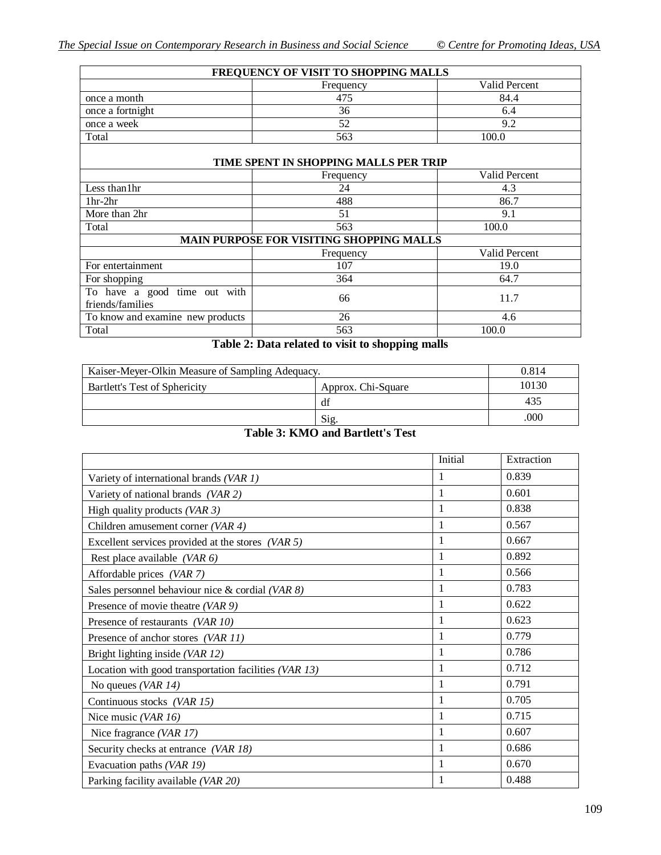| FREQUENCY OF VISIT TO SHOPPING MALLS             |                                          |                      |  |  |  |  |  |
|--------------------------------------------------|------------------------------------------|----------------------|--|--|--|--|--|
| Valid Percent<br>Frequency                       |                                          |                      |  |  |  |  |  |
| once a month                                     | 475                                      | 84.4                 |  |  |  |  |  |
| once a fortnight                                 | 36                                       | 6.4                  |  |  |  |  |  |
| once a week                                      | 52                                       | 9.2                  |  |  |  |  |  |
| Total                                            | 563                                      | 100.0                |  |  |  |  |  |
| TIME SPENT IN SHOPPING MALLS PER TRIP            |                                          |                      |  |  |  |  |  |
| Valid Percent<br>Frequency                       |                                          |                      |  |  |  |  |  |
| Less than 1hr                                    | 24                                       | 4.3                  |  |  |  |  |  |
| $1hr-2hr$                                        | 488                                      | 86.7                 |  |  |  |  |  |
| More than 2hr                                    | 51                                       | 9.1                  |  |  |  |  |  |
| Total                                            | 563                                      | 100.0                |  |  |  |  |  |
|                                                  | MAIN PURPOSE FOR VISITING SHOPPING MALLS |                      |  |  |  |  |  |
|                                                  | Frequency                                | <b>Valid Percent</b> |  |  |  |  |  |
| For entertainment                                | 107                                      | 19.0                 |  |  |  |  |  |
| For shopping                                     | 364                                      | 64.7                 |  |  |  |  |  |
| To have a good time out with<br>friends/families | 66                                       | 11.7                 |  |  |  |  |  |
| To know and examine new products                 | 26                                       | 4.6                  |  |  |  |  |  |
| Total                                            | 563                                      | 100.0                |  |  |  |  |  |

**Table 2: Data related to visit to shopping malls**

| Kaiser-Meyer-Olkin Measure of Sampling Adequacy.                                                                                                                                                                                                                                                                                                          | 0.814 |     |  |  |  |
|-----------------------------------------------------------------------------------------------------------------------------------------------------------------------------------------------------------------------------------------------------------------------------------------------------------------------------------------------------------|-------|-----|--|--|--|
| Bartlett's Test of Sphericity                                                                                                                                                                                                                                                                                                                             | 10130 |     |  |  |  |
|                                                                                                                                                                                                                                                                                                                                                           | df    | 435 |  |  |  |
|                                                                                                                                                                                                                                                                                                                                                           | .000  |     |  |  |  |
| $\mathbf{r}$<br>$\mathbf{m}$ , $\mathbf{r}$ , $\mathbf{r}$ , $\mathbf{r}$ , $\mathbf{r}$ , $\mathbf{r}$ , $\mathbf{r}$ , $\mathbf{r}$ , $\mathbf{r}$ , $\mathbf{r}$ , $\mathbf{r}$ , $\mathbf{r}$ , $\mathbf{r}$ , $\mathbf{r}$ , $\mathbf{r}$ , $\mathbf{r}$ , $\mathbf{r}$ , $\mathbf{r}$ , $\mathbf{r}$ , $\mathbf{r}$ , $\mathbf{r}$ , $\mathbf{r}$ , |       |     |  |  |  |

## **Table 3: KMO and Bartlett's Test**

|                                                       | Initial      | Extraction |
|-------------------------------------------------------|--------------|------------|
| Variety of international brands (VAR 1)               | 1            | 0.839      |
| Variety of national brands (VAR 2)                    | 1            | 0.601      |
| High quality products $(VAR 3)$                       | 1            | 0.838      |
| Children amusement corner (VAR 4)                     | $\mathbf{1}$ | 0.567      |
| Excellent services provided at the stores $(VAR 5)$   | 1            | 0.667      |
| Rest place available (VAR $6$ )                       | 1            | 0.892      |
| Affordable prices (VAR 7)                             | 1            | 0.566      |
| Sales personnel behaviour nice & cordial (VAR $8$ )   | 1            | 0.783      |
| Presence of movie theatre (VAR 9)                     | 1            | 0.622      |
| Presence of restaurants (VAR 10)                      | 1            | 0.623      |
| Presence of anchor stores (VAR 11)                    | 1            | 0.779      |
| Bright lighting inside (VAR 12)                       | 1            | 0.786      |
| Location with good transportation facilities (VAR 13) | 1            | 0.712      |
| No queues (VAR $14$ )                                 | 1            | 0.791      |
| Continuous stocks (VAR 15)                            | 1            | 0.705      |
| Nice music (VAR $16$ )                                | $\mathbf{1}$ | 0.715      |
| Nice fragrance (VAR $17$ )                            | $\mathbf{1}$ | 0.607      |
| Security checks at entrance (VAR 18)                  | 1            | 0.686      |
| Evacuation paths (VAR 19)                             | 1            | 0.670      |
| Parking facility available (VAR 20)                   | 1            | 0.488      |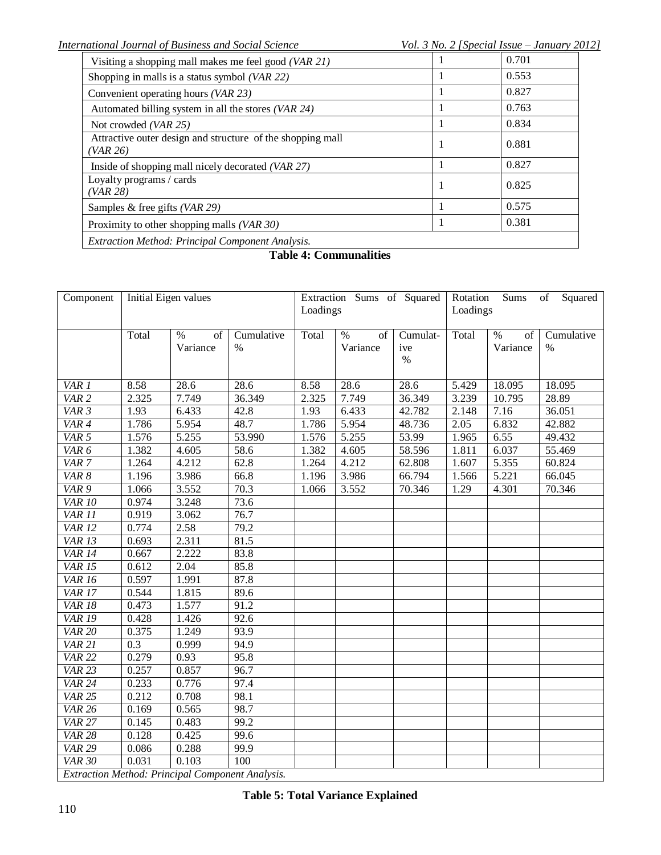| Visiting a shopping mall makes me feel good (VAR 21)                   | 0.701 |
|------------------------------------------------------------------------|-------|
| Shopping in malls is a status symbol (VAR 22)                          | 0.553 |
| Convenient operating hours (VAR 23)                                    | 0.827 |
| Automated billing system in all the stores (VAR $24$ )                 | 0.763 |
| Not crowded $(VAR 25)$                                                 | 0.834 |
| Attractive outer design and structure of the shopping mall<br>(VAR 26) | 0.881 |
| Inside of shopping mall nicely decorated (VAR 27)                      | 0.827 |
| Loyalty programs / cards<br>(VAR 28)                                   | 0.825 |
| Samples & free gifts $(VAR 29)$                                        | 0.575 |
| Proximity to other shopping malls (VAR 30)                             | 0.381 |
| <b>Extraction Method: Principal Component Analysis.</b>                |       |

# **Table 4: Communalities**

| Component         | Initial Eigen values |                                                  | Extraction Sums of Squared |          | Squared<br>Rotation<br>Sums<br>of |          |          |            |            |
|-------------------|----------------------|--------------------------------------------------|----------------------------|----------|-----------------------------------|----------|----------|------------|------------|
|                   |                      |                                                  |                            | Loadings |                                   |          | Loadings |            |            |
|                   | Total                | $\%$<br>$\sigma$                                 | Cumulative                 | Total    | $\%$<br>of                        | Cumulat- | Total    | $\%$<br>of | Cumulative |
|                   |                      | Variance                                         | %                          |          | Variance                          | ive      |          | Variance   | $\%$       |
|                   |                      |                                                  |                            |          |                                   | $\%$     |          |            |            |
|                   |                      |                                                  |                            |          |                                   |          |          |            |            |
| VAR 1             | 8.58                 | 28.6                                             | 28.6                       | 8.58     | 28.6                              | 28.6     | 5.429    | 18.095     | 18.095     |
| VAR <sub>2</sub>  | 2.325                | 7.749                                            | 36.349                     | 2.325    | 7.749                             | 36.349   | 3.239    | 10.795     | 28.89      |
| VAR 3             | 1.93                 | 6.433                                            | 42.8                       | 1.93     | 6.433                             | 42.782   | 2.148    | 7.16       | 36.051     |
| VAR 4             | 1.786                | 5.954                                            | 48.7                       | 1.786    | 5.954                             | 48.736   | 2.05     | 6.832      | 42.882     |
| VAR 5             | 1.576                | 5.255                                            | 53.990                     | 1.576    | 5.255                             | 53.99    | 1.965    | 6.55       | 49.432     |
| VAR <sub>6</sub>  | 1.382                | 4.605                                            | 58.6                       | 1.382    | 4.605                             | 58.596   | 1.811    | 6.037      | 55.469     |
| VAR <sub>7</sub>  | 1.264                | 4.212                                            | 62.8                       | 1.264    | 4.212                             | 62.808   | 1.607    | 5.355      | 60.824     |
| VAR 8             | 1.196                | 3.986                                            | 66.8                       | 1.196    | 3.986                             | 66.794   | 1.566    | 5.221      | 66.045     |
| VAR 9             | 1.066                | 3.552                                            | 70.3                       | 1.066    | 3.552                             | 70.346   | 1.29     | 4.301      | 70.346     |
| <b>VAR 10</b>     | 0.974                | 3.248                                            | 73.6                       |          |                                   |          |          |            |            |
| VAR <sub>11</sub> | 0.919                | 3.062                                            | 76.7                       |          |                                   |          |          |            |            |
| <b>VAR 12</b>     | 0.774                | 2.58                                             | 79.2                       |          |                                   |          |          |            |            |
| <b>VAR 13</b>     | 0.693                | 2.311                                            | 81.5                       |          |                                   |          |          |            |            |
| <b>VAR 14</b>     | 0.667                | 2.222                                            | 83.8                       |          |                                   |          |          |            |            |
| <b>VAR 15</b>     | 0.612                | 2.04                                             | 85.8                       |          |                                   |          |          |            |            |
| <b>VAR 16</b>     | 0.597                | 1.991                                            | 87.8                       |          |                                   |          |          |            |            |
| <b>VAR 17</b>     | 0.544                | 1.815                                            | 89.6                       |          |                                   |          |          |            |            |
| <b>VAR 18</b>     | 0.473                | 1.577                                            | 91.2                       |          |                                   |          |          |            |            |
| <b>VAR 19</b>     | 0.428                | 1.426                                            | 92.6                       |          |                                   |          |          |            |            |
| <b>VAR 20</b>     | 0.375                | 1.249                                            | 93.9                       |          |                                   |          |          |            |            |
| <b>VAR 21</b>     | 0.3                  | 0.999                                            | 94.9                       |          |                                   |          |          |            |            |
| <b>VAR 22</b>     | 0.279                | 0.93                                             | 95.8                       |          |                                   |          |          |            |            |
| <b>VAR 23</b>     | 0.257                | 0.857                                            | 96.7                       |          |                                   |          |          |            |            |
| <b>VAR 24</b>     | 0.233                | 0.776                                            | 97.4                       |          |                                   |          |          |            |            |
| $VAR$ 25          | 0.212                | 0.708                                            | 98.1                       |          |                                   |          |          |            |            |
| <b>VAR 26</b>     | 0.169                | 0.565                                            | 98.7                       |          |                                   |          |          |            |            |
| $VAR$ 27          | 0.145                | 0.483                                            | 99.2                       |          |                                   |          |          |            |            |
| <b>VAR 28</b>     | 0.128                | 0.425                                            | 99.6                       |          |                                   |          |          |            |            |
| <b>VAR 29</b>     | 0.086                | 0.288                                            | 99.9                       |          |                                   |          |          |            |            |
| <b>VAR 30</b>     | 0.031                | 0.103                                            | 100                        |          |                                   |          |          |            |            |
|                   |                      | Extraction Method: Principal Component Analysis. |                            |          |                                   |          |          |            |            |